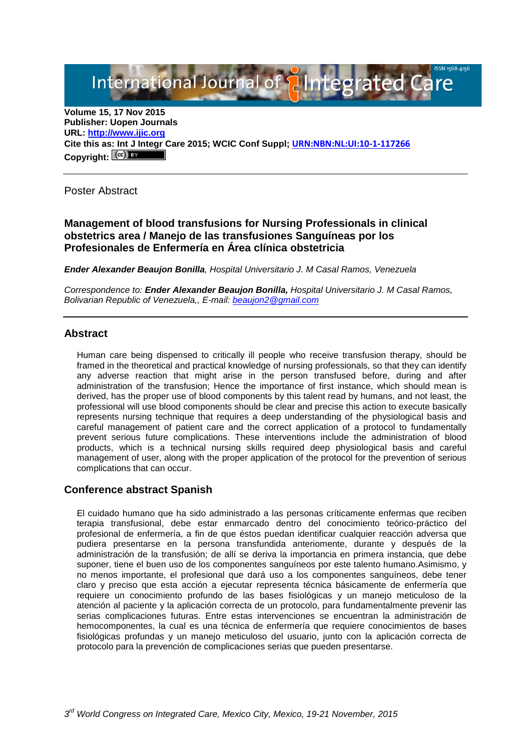# International Journal of **Alntegrated Care**

**Volume 15, 17 Nov 2015 Publisher: Uopen Journals URL: [http://www.ijic.org](http://www.ijic.org/) Cite this as: Int J Integr Care 2015; WCIC Conf Suppl; [URN:NBN:NL:UI:10-1-117266](http://persistent-identifier.nl/?identifier=URN:NBN:NL:UI:10-1-117266) Copyright:**

Poster Abstract

**Management of blood transfusions for Nursing Professionals in clinical obstetrics area / Manejo de las transfusiones Sanguíneas por los Profesionales de Enfermería en Área clínica obstetricia**

*Ender Alexander Beaujon Bonilla, Hospital Universitario J. M Casal Ramos, Venezuela*

*Correspondence to: Ender Alexander Beaujon Bonilla, Hospital Universitario J. M Casal Ramos, Bolivarian Republic of Venezuela,, E-mail: [beaujon2@gmail.com](mailto:beaujon2@gmail.com)*

### **Abstract**

Human care being dispensed to critically ill people who receive transfusion therapy, should be framed in the theoretical and practical knowledge of nursing professionals, so that they can identify any adverse reaction that might arise in the person transfused before, during and after administration of the transfusion; Hence the importance of first instance, which should mean is derived, has the proper use of blood components by this talent read by humans, and not least, the professional will use blood components should be clear and precise this action to execute basically represents nursing technique that requires a deep understanding of the physiological basis and careful management of patient care and the correct application of a protocol to fundamentally prevent serious future complications. These interventions include the administration of blood products, which is a technical nursing skills required deep physiological basis and careful management of user, along with the proper application of the protocol for the prevention of serious complications that can occur.

### **Conference abstract Spanish**

El cuidado humano que ha sido administrado a las personas críticamente enfermas que reciben terapia transfusional, debe estar enmarcado dentro del conocimiento teórico-práctico del profesional de enfermería, a fin de que éstos puedan identificar cualquier reacción adversa que pudiera presentarse en la persona transfundida anteriomente, durante y después de la administración de la transfusión; de allí se deriva la importancia en primera instancia, que debe suponer, tiene el buen uso de los componentes sanguíneos por este talento humano.Asimismo, y no menos importante, el profesional que dará uso a los componentes sanguíneos, debe tener claro y preciso que esta acción a ejecutar representa técnica básicamente de enfermería que requiere un conocimiento profundo de las bases fisiológicas y un manejo meticuloso de la atención al paciente y la aplicación correcta de un protocolo, para fundamentalmente prevenir las serias complicaciones futuras. Entre estas intervenciones se encuentran la administración de hemocomponentes, la cual es una técnica de enfermería que requiere conocimientos de bases fisiológicas profundas y un manejo meticuloso del usuario, junto con la aplicación correcta de protocolo para la prevención de complicaciones serias que pueden presentarse.